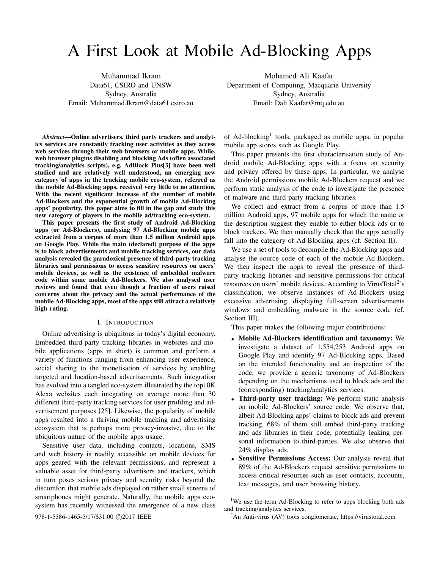# A First Look at Mobile Ad-Blocking Apps

Muhammad Ikram Data61, CSIRO and UNSW Sydney, Australia Email: Muhammad.Ikram@data61.csiro.au

Mohamed Ali Kaafar Department of Computing, Macquarie University Sydney, Australia Email: Dali.Kaafar@mq.edu.au

*Abstract***—Online advertisers, third party trackers and analytics services are constantly tracking user activities as they access web services through their web browsers or mobile apps. While, web browser plugins disabling and blocking Ads (often associated tracking/analytics scripts), e.g. AdBlock Plus[3] have been well studied and are relatively well understood, an emerging new category of apps in the tracking mobile eco-system, referred as the mobile Ad-Blocking apps, received very little to no attention. With the recent significant increase of the number of mobile Ad-Blockers and the exponential growth of mobile Ad-Blocking apps' popularity, this paper aims to fill in the gap and study this new category of players in the mobile ad/tracking eco-system.**

**This paper presents the first study of Android Ad-Blocking apps (or Ad-Blockers), analysing 97 Ad-Blocking mobile apps extracted from a corpus of more than 1.5 million Android apps on Google Play. While the main (declared) purpose of the apps is to block advertisements and mobile tracking services, our data analysis revealed the paradoxical presence of third-party tracking libraries and permissions to access sensitive resources on users' mobile devices, as well as the existence of embedded malware code within some mobile Ad-Blockers. We also analysed user reviews and found that even though a fraction of users raised concerns about the privacy and the actual performance of the mobile Ad-Blocking apps, most of the apps still attract a relatively high rating.**

# I. INTRODUCTION

Online advertising is ubiquitous in today's digital economy. Embedded third-party tracking libraries in websites and mobile applications (apps in short) is common and perform a variety of functions ranging from enhancing user experience, social sharing to the monetisation of services by enabling targeted and location-based advertisements. Such integration has evolved into a tangled eco-system illustrated by the top10K Alexa websites each integrating on average more than 30 different third-party tracking services for user profiling and advertisement purposes [25]. Likewise, the popularity of mobile apps resulted into a thriving mobile tracking and advertising ecosystem that is perhaps more privacy-invasive, due to the ubiquitous nature of the mobile apps usage.

Sensitive user data, including contacts, locations, SMS and web history is readily accessible on mobile devices for apps geared with the relevant permissions, and represent a valuable asset for third-party advertisers and trackers, which in turn poses serious privacy and security risks beyond the discomfort that mobile ads displayed on rather small screens of smartphones might generate. Naturally, the mobile apps ecosystem has recently witnessed the emergence of a new class

of Ad-blocking1 tools, packaged as mobile apps, in popular mobile app stores such as Google Play.

This paper presents the first characterisation study of Android mobile Ad-Blocking apps with a focus on security and privacy offered by these apps. In particular, we analyse the Android permissions mobile Ad-Blockers request and we perform static analysis of the code to investigate the presence of malware and third party tracking libraries.

We collect and extract from a corpus of more than 1.5 million Android apps, 97 mobile apps for which the name or the description suggest they enable to either block ads or to block trackers. We then manually check that the apps actually fall into the category of Ad-Blocking apps (cf. Section II).

We use a set of tools to decompile the Ad-Blocking apps and analyse the source code of each of the mobile Ad-Blockers. We then inspect the apps to reveal the presence of thirdparty tracking libraries and sensitive permissions for critical resources on users' mobile devices. According to VirusTotal<sup>2</sup>'s classification, we observe instances of Ad-Blockers using excessive advertising, displaying full-screen advertisements windows and embedding malware in the source code (cf. Section III).

This paper makes the following major contributions:

- <sup>∙</sup> **Mobile Ad-Blockers identification and taxonomy:** We investigate a dataset of 1,554,253 Android apps on Google Play and identify 97 Ad-Blocking apps. Based on the intended functionality and an inspection of the code, we provide a generic taxonomy of Ad-Blockers depending on the mechanisms used to block ads and the (corresponding) tracking/analytics services.
- <sup>∙</sup> **Third-party user tracking:** We perform static analysis on mobile Ad-Blockers' source code. We observe that, albeit Ad-Blocking apps' claims to block ads and prevent tracking, 68% of them still embed third-party tracking and ads libraries in their code, potentially leaking personal information to third-parties. We also observe that 24% display ads.
- <sup>∙</sup> **Sensitive Permissions Access:** Our analysis reveal that 89% of the Ad-Blockers request sensitive permissions to access critical resources such as user contacts, accounts, text messages, and user browsing history.

<sup>1</sup>We use the term Ad-Blocking to refer to apps blocking both ads and tracking/analytics services.

 $2^2$ An Anti-virus (AV) tools conglomerate, https://virustotal.com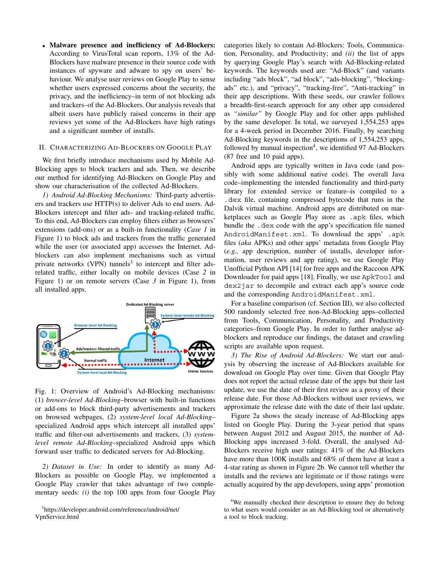<sup>∙</sup> **Malware presence and inefficiency of Ad-Blockers:** According to VirusTotal scan reports, 13% of the Ad-Blockers have malware presence in their source code with instances of spyware and adware to spy on users' behaviour. We analyse user reviews on Google Play to sense whether users expressed concerns about the security, the privacy, and the inefficiency–in term of not blocking ads and trackers–of the Ad-Blockers. Our analysis reveals that albeit users have publicly raised concerns in their app reviews yet some of the Ad-Blockers have high ratings and a significant number of installs.

#### II. CHARACTERIZING AD-BLOCKERS ON GOOGLE PLAY

We first briefly introduce mechanisms used by Mobile Ad-Blocking apps to block trackers and ads. Then, we describe our method for identifying Ad-Blockers on Google Play and show our characterisation of the collected Ad-Blockers.

*1) Android Ad-Blocking Mechanisms:* Third-party advertisers and trackers use HTTP(s) to deliver Ads to end users. Ad-Blockers intercept and filter ads- and tracking-related traffic. To this end, Ad-Blockers can employ filters either as browsers' extensions (add-ons) or as a built-in functionality (*Case 1* in Figure 1) to block ads and trackers from the traffic generated while the user (or associated app) accesses the Internet. Adblockers can also implement mechanisms such as virtual private networks (VPN) tunnels<sup>3</sup> to intercept and filter adsrelated traffic, either locally on mobile devices (Case *2* in Figure 1) or on remote servers (Case *3* in Figure 1), from all installed apps.



Fig. 1: Overview of Android's Ad-Blocking mechanisms: (1) *brower-level Ad-Blocking*–browser with built-in functions or add-ons to block third-party advertisements and trackers on browsed webpages, (2) *system-level local Ad-Blocking*– specialized Android apps which intercept all installed apps' traffic and filter-out advertisements and trackers, (3) *systemlevel remote Ad-Blocking*–specialized Android apps which forward user traffic to dedicated servers for Ad-Blocking.

*2) Dataset in Use:* In order to identify as many Ad-Blockers as possible on Google Play, we implemented a Google Play crawler that takes advantage of two complementary seeds: *(i)* the top 100 apps from four Google Play

3 https://developer.android.com/reference/android/net/ VpnService.html

categories likely to contain Ad-Blockers: Tools, Communication, Personality, and Productivity; and *(ii)* the list of apps by querying Google Play's search with Ad-Blocking-related keywords. The keywords used are: "Ad-Block" (and variants including "ads block", "ad block", "ads-blocking", "blockingads" etc.), and "privacy", "tracking-free", "Anti-tracking" in their app descriptions. With these seeds, our crawler follows a breadth-first-search approach for any other app considered as *"similar"* by Google Play and for other apps published by the same developer. In total, we surveyed 1,554,253 apps for a 4-week period in December 2016. Finally, by searching Ad-Blocking keywords in the descriptions of 1,554,253 apps, followed by manual inspection<sup>4</sup>, we identified 97 Ad-Blockers (87 free and 10 paid apps).

Android apps are typically written in Java code (and possibly with some additional native code). The overall Java code–implementing the intended functionality and third-party library for extended service or feature–is compiled to a .dex file, containing compressed bytecode that runs in the Dalvik virtual machine. Android apps are distributed on marketplaces such as Google Play store as .apk files, which bundle the .dex code with the app's specification file named AndroidManifest.xml. To download the apps' .apk files (*aka* APKs) and other apps' metadata from Google Play (*e.g.,* app description, number of installs, developer information, user reviews and app rating), we use Google Play Unofficial Python API [14] for free apps and the Raccoon APK Downloader for paid apps [18]. Finally, we use ApkTool and dex2jar to decompile and extract each app's source code and the corresponding AndroidManifest.xml.

For a baseline comparison (cf. Section III), we also collected 500 randomly selected free non-Ad-Blocking apps–collected from Tools, Communication, Personality, and Productivity categories–from Google Play. In order to further analyse adblockers and reproduce our findings, the dataset and crawling scripts are available upon request.

*3) The Rise of Android Ad-Blockers:* We start our analysis by observing the increase of Ad-Blockers available for download on Google Play over time. Given that Google Play does not report the actual release date of the apps but their last update, we use the date of their first review as a proxy of their release date. For those Ad-Blockers without user reviews, we approximate the release date with the date of their last update.

Figure 2a shows the steady increase of Ad-Blocking apps listed on Google Play. During the 3-year period that spans between August 2012 and August 2015, the number of Ad-Blocking apps increased 3-fold. Overall, the analysed Ad-Blockers receive high user ratings: 41% of the Ad-Blockers have more than 100K installs and 68% of them have at least a 4-star rating as shown in Figure 2b. We cannot tell whether the installs and the reviews are legitimate or if those ratings were actually acquired by the app developers, using apps' promotion

<sup>&</sup>lt;sup>4</sup>We manually checked their description to ensure they do belong to what users would consider as an Ad-Blocking tool or alternatively a tool to block tracking.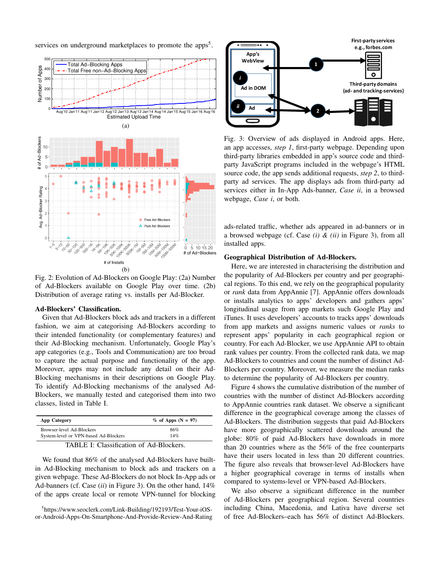

services on underground marketplaces to promote the apps<sup>5</sup>.

Fig. 2: Evolution of Ad-Blockers on Google Play: (2a) Number of Ad-Blockers available on Google Play over time. (2b) Distribution of average rating vs. installs per Ad-Blocker.

#### **Ad-Blockers' Classification.**

Given that Ad-Blockers block ads and trackers in a different fashion, we aim at categorising Ad-Blockers according to their intended functionality (or complementary features) and their Ad-Blocking mechanism. Unfortunately, Google Play's app categories (e.g., Tools and Communication) are too broad to capture the actual purpose and functionality of the app. Moreover, apps may not include any detail on their Ad-Blocking mechanisms in their descriptions on Google Play. To identify Ad-Blocking mechanisms of the analysed Ad-Blockers, we manually tested and categorised them into two classes, listed in Table I.

| App Category                          | $%$ of Apps (N = 97) |
|---------------------------------------|----------------------|
| Browser-level Ad-Blockers             | 86%                  |
| System-level or VPN-based Ad-Blockers | 14%                  |
| --------                              |                      |

TABLE I: Classification of Ad-Blockers.

We found that 86% of the analysed Ad-Blockers have builtin Ad-Blocking mechanism to block ads and trackers on a given webpage. These Ad-Blockers do not block In-App ads or Ad-banners (cf. Case (*ii*) in Figure 3). On the other hand, 14% of the apps create local or remote VPN-tunnel for blocking

5 https://www.seoclerk.com/Link-Building/192193/Test-Your-iOSor-Android-Apps-On-Smartphone-And-Provide-Review-And-Rating



Fig. 3: Overview of ads displayed in Android apps. Here, an app accesses, *step 1*, first-party webpage. Depending upon third-party libraries embedded in app's source code and thirdparty JavaScript programs included in the webpage's HTML source code, the app sends additional requests, *step 2*, to thirdparty ad services. The app displays ads from third-party ad services either in In-App Ads-banner, *Case ii*, in a browsed webpage, *Case i*, or both.

ads-related traffic, whether ads appeared in ad-banners or in a browsed webpage (cf. Case *(i) & (ii)* in Figure 3), from all installed apps.

# **Geographical Distribution of Ad-Blockers.**

Here, we are interested in characterising the distribution and the popularity of Ad-Blockers per country and per geographical regions. To this end, we rely on the geographical popularity or *rank* data from AppAnnie [7]. AppAnnie offers downloads or installs analytics to apps' developers and gathers apps' longitudinal usage from app markets such Google Play and iTunes. It uses developers' accounts to tracks apps' downloads from app markets and assigns numeric values or *ranks* to represent apps' popularity in each geographical region or country. For each Ad-Blocker, we use AppAnnie API to obtain rank values per country. From the collected rank data, we map Ad-Blockers to countries and count the number of distinct Ad-Blockers per country. Moreover, we measure the median ranks to determine the popularity of Ad-Blockers per country.

Figure 4 shows the cumulative distribution of the number of countries with the number of distinct Ad-Blockers according to AppAnnie countries rank dataset. We observe a significant difference in the geographical coverage among the classes of Ad-Blockers. The distribution suggests that paid Ad-Blockers have more geographically scattered downloads around the globe: 80% of paid Ad-Blockers have downloads in more than 20 countries where as the 56% of the free counterparts have their users located in less than 20 different countries. The figure also reveals that browser-level Ad-Blockers have a higher geographical coverage in terms of installs when compared to systems-level or VPN-based Ad-Blockers.

We also observe a significant difference in the number of Ad-Blockers per geographical region. Several countries including China, Macedonia, and Lativa have diverse set of free Ad-Blockers–each has 56% of distinct Ad-Blockers.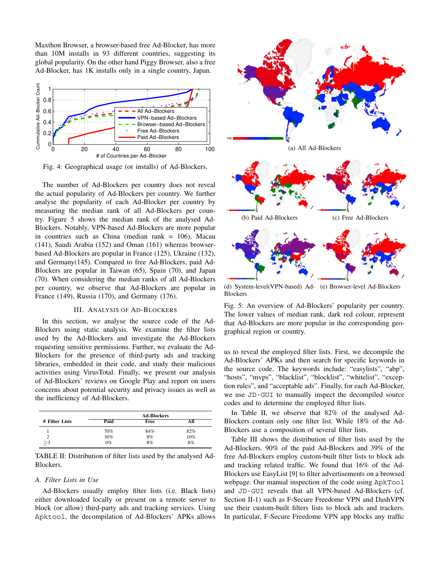Maxthon Browser, a browser-based free Ad-Blocker, has more than 10M installs in 93 different countries, suggesting its global popularity. On the other hand Piggy Browser, also a free Ad-Blocker, has 1K installs only in a single country, Japan.



Fig. 4: Geographical usage (or installs) of Ad-Blockers.

The number of Ad-Blockers per country does not reveal the actual popularity of Ad-Blockers per country. We further analyse the popularity of each Ad-Blocker per country by measuring the median rank of all Ad-Blockers per country. Figure 5 shows the median rank of the analysed Ad-Blockers. Notably, VPN-based Ad-Blockers are more popular in countries such as China (median rank = 106), Macau (141), Saudi Arabia (152) and Oman (161) whereas browserbased Ad-Blockers are popular in France (125), Ukraine (132), and Germany(145). Compared to free Ad-Blockers, paid Ad-Blockers are popular in Taiwan (65), Spain (70), and Japan (70). When considering the median ranks of all Ad-Blockers per country, we observe that Ad-Blockers are popular in France (149), Russia (170), and Germany (176).

#### III. ANALYSIS OF AD-BLOCKERS

In this section, we analyse the source code of the Ad-Blockers using static analysis. We examine the filter lists used by the Ad-Blockers and investigate the Ad-Blockers requesting sensitive permissions. Further, we evaluate the Ad-Blockers for the presence of third-party ads and tracking libraries, embedded in their code, and study their malicious activities using VirusTotal. Finally, we present our analysis of Ad-Blockers' reviews on Google Play and report on users concerns about potential security and privacy issues as well as the inefficiency of Ad-Blockers.

|                |       | <b>Ad-Blockers</b> |     |
|----------------|-------|--------------------|-----|
| # Filter Lists | Paid  | Free               |     |
|                | 70%   | 84%                | 82% |
|                | 30%   | 8%                 | 10% |
|                | $0\%$ | 8%                 | 8%  |

TABLE II: Distribution of filter lists used by the analysed Ad-Blockers.

# *A. Filter Lists in Use*

Ad-Blockers usually employ filter lists (i.e. Black lists) either downloaded locally or present on a remote server to block (or allow) third-party ads and tracking services. Using Apktool, the decompilation of Ad-Blockers' APKs allows



(d) System-level(VPN-based) Ad-(e) Browser-level Ad-Blockers **Blockers** 

Fig. 5: An overview of Ad-Blockers' popularity per country. The lower values of median rank, dark red colour, represent that Ad-Blockers are more popular in the corresponding geographical region or country.

us to reveal the employed filter lists. First, we decompile the Ad-Blockers' APKs and then search for specific keywords in the source code. The keywords include: "easylists", "abp", "hosts", "mvps", "blacklist", "blocklist", "whitelist", "exception rules", and "acceptable ads". Finally, for each Ad-Blocker, we use JD-GUI to manually inspect the decompiled source codes and to determine the employed filter lists.

In Table II, we observe that 82% of the analysed Ad-Blockers contain only one filter list. While 18% of the Ad-Blockers use a composition of several filter lists.

Table III shows the distribution of filter lists used by the Ad-Blockers. 90% of the paid Ad-Blockers and 39% of the free Ad-Blockers employ custom-built filter lists to block ads and tracking related traffic. We found that 16% of the Ad-Blockers use EasyList [9] to filter advertisements on a browsed webpage. Our manual inspection of the code using ApkTool and JD-GUI reveals that all VPN-based Ad-Blockers (cf. Section II-1) such as F-Secure Freedome VPN and DashVPN use their custom-built filters lists to block ads and trackers. In particular, F-Secure Freedome VPN app blocks any traffic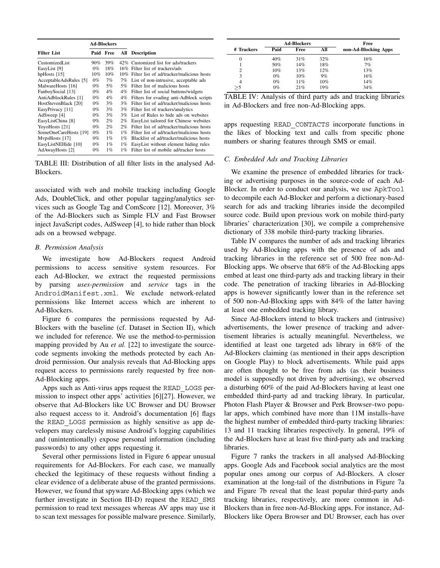|                              |       | <b>Ad-Blockers</b> |       |                                               |
|------------------------------|-------|--------------------|-------|-----------------------------------------------|
| <b>Filter List</b>           | Paid  | Free               |       | <b>All</b> Description                        |
| CustomizedList               | 90%   | 39%                |       | 42% Customized list for ads/trackers          |
| EasyList [9]                 | $0\%$ | 18%                |       | 16% Filter list of trackers/ads               |
| hpHosts $[15]$               | 10%   | 10%                |       | 10% Filter list of ad/tracker/malicious hosts |
| AcceptableAdsRules [5]       | $0\%$ | 7%                 | 7%    | List of non-intrusive, acceptable ads         |
| MalwareHosts [16]            | $0\%$ | 5%                 | 5%    | Filter list of malicious hosts                |
| FanboySocial [13]            | $0\%$ | $4\%$              | $4\%$ | Filter list of social buttons/widgets         |
| AntiAdblockRules [1]         | $0\%$ | $4\%$              | 4%    | Filters for evading anti-Adblock scripts      |
| HostStevenBlack [20]         | $0\%$ | $3\%$              | 3%    | Filter list of ad/tracker/malicious hosts     |
| EasyPrivacy [11]             | $0\%$ | $3\%$              | $3\%$ | Filter list of trackers/analytics             |
| AdSweep [4]                  | 0%    | $3\%$              | 3%    | List of Rules to hide ads on websites         |
| EasyListChina <sup>[8]</sup> | $0\%$ | $2\%$              | $2\%$ | EasyList tailored for Chinese websites        |
| YoyoHosts [21]               | $0\%$ | $2\%$              | 2%    | Filter list of ad/tracker/malicious hosts     |
| SomeOneCareHosts [19]        | $0\%$ | $1\%$              | $1\%$ | Filter list of ad/tracker/malicious hosts     |
| MypsHosts [17]               | $0\%$ | $1\%$              | $1\%$ | Blacklist of ad/tracker/malicious hosts       |
| EasyListNEHide [10]          | $0\%$ | $1\%$              | $1\%$ | EasyList without element hiding rules         |
| AdAwayHosts [2]              | $0\%$ | $1\%$              | $1\%$ | Filter list of mobile ad/tracker hosts        |

TABLE III: Distribution of all filter lists in the analysed Ad-Blockers.

associated with web and mobile tracking including Google Ads, DoubleClick, and other popular tagging/analytics services such as Google Tag and ComScore [12]. Moreover, 3% of the Ad-Blockers such as Simple FLV and Fast Browser inject JavaScript codes, AdSweep [4], to hide rather than block ads on a browsed webpage.

## *B. Permission Analysis*

We investigate how Ad-Blockers request Android permissions to access sensitive system resources. For each Ad-Blocker, we extract the requested permissions by parsing *uses-permission* and *service* tags in the AndroidManifest.xml. We exclude network-related permissions like Internet access which are inherent to Ad-Blockers.

Figure 6 compares the permissions requested by Ad-Blockers with the baseline (cf. Dataset in Section II), which we included for reference. We use the method-to-permission mapping provided by Au *et al.* [22] to investigate the sourcecode segments invoking the methods protected by each Android permission. Our analysis reveals that Ad-Blocking apps request access to permissions rarely requested by free non-Ad-Blocking apps.

Apps such as Anti-virus apps request the READ\_LOGS permission to inspect other apps' activities [6][27]. However, we observe that Ad-Blockers like UC Browser and DU Browser also request access to it. Android's documentation [6] flags the READ\_LOGS permission as highly sensitive as app developers may carelessly misuse Android's logging capabilities and (unintentionally) expose personal information (including passwords) to any other apps requesting it.

Several other permissions listed in Figure 6 appear unusual requirements for Ad-Blockers. For each case, we manually checked the legitimacy of these requests without finding a clear evidence of a deliberate abuse of the granted permissions. However, we found that spyware Ad-Blocking apps (which we further investigate in Section III-D) request the READ\_SMS permission to read text messages whereas AV apps may use it to scan text messages for possible malware presence. Similarly,

|            |        | <b>Ad-Blockers</b> |     | Free                 |
|------------|--------|--------------------|-----|----------------------|
| # Trackers | Paid   | Free               | All | non-Ad-Blocking Apps |
| 0          | 40%    | 31%                | 32% | 16%                  |
|            | 50%    | 14%                | 18% | 7%                   |
| 2          | $10\%$ | 13%                | 12% | 13%                  |
| 3          | $0\%$  | 10%                | 9%  | 16%                  |
| 4          | $0\%$  | 11%                | 10% | 14%                  |
| $>$ 5      | $0\%$  | 21%                | 19% | 34%                  |

|  |  |  |                                               |  | TABLE IV: Analysis of third party ads and tracking libraries |
|--|--|--|-----------------------------------------------|--|--------------------------------------------------------------|
|  |  |  | in Ad-Blockers and free non-Ad-Blocking apps. |  |                                                              |

apps requesting READ\_CONTACTS incorporate functions in the likes of blocking text and calls from specific phone numbers or sharing features through SMS or email.

# *C. Embedded Ads and Tracking Libraries*

We examine the presence of embedded libraries for tracking or advertising purposes in the source-code of each Ad-Blocker. In order to conduct our analysis, we use ApkTool to decompile each Ad-Blocker and perform a dictionary-based search for ads and tracking libraries inside the decompiled source code. Build upon previous work on mobile third-party libraries' characterization [30], we compile a comprehensive dictionary of 338 mobile third-party tracking libraries.

Table IV compares the number of ads and tracking libraries used by Ad-Blocking apps with the presence of ads and tracking libraries in the reference set of 500 free non-Ad-Blocking apps. We observe that 68% of the Ad-Blocking apps embed at least one third-party ads and tracking library in their code. The penetration of tracking libraries in Ad-Blocking apps is however significantly lower than in the reference set of 500 non-Ad-Blocking apps with 84% of the latter having at least one embedded tracking library.

Since Ad-Blockers intend to block trackers and (intrusive) advertisements, the lower presence of tracking and advertisement libraries is actually meaningful. Nevertheless, we identified at least one targeted ads library in 68% of the Ad-Blockers claiming (as mentioned in their apps description on Google Play) to block advertisements. While paid apps are often thought to be free from ads (as their business model is supposedly not driven by advertising), we observed a disturbing 60% of the paid Ad-Blockers having at least one embedded third-party ad and tracking library. In particular, Photon Flash Player & Browser and Perk Browser–two popular apps, which combined have more than 11M installs–have the highest number of embedded third-party tracking libraries: 13 and 11 tracking libraries respectively. In general, 19% of the Ad-Blockers have at least five third-party ads and tracking libraries.

Figure 7 ranks the trackers in all analysed Ad-Blocking apps. Google Ads and Facebook social analytics are the most popular ones among our corpus of Ad-Blockers. A closer examination at the long-tail of the distributions in Figure 7a and Figure 7b reveal that the least popular third-party ands tracking libraries, respectively, are more common in Ad-Blockers than in free non-Ad-Blocking apps. For instance, Ad-Blockers like Opera Browser and DU Browser, each has over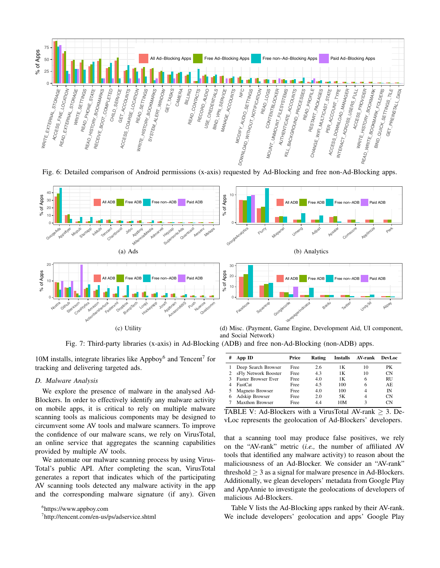

Fig. 6: Detailed comparison of Android permissions (x-axis) requested by Ad-Blocking and free non-Ad-Blocking apps.



Fig. 7: Third-party libraries (x-axis) in Ad-Blocking (ADB) and free non-Ad-Blocking (non-ADB) apps.

10M installs, integrate libraries like Appboy $<sup>6</sup>$  and Tencent<sup>7</sup> for</sup> tracking and delivering targeted ads.

## *D. Malware Analysis*

We explore the presence of malware in the analysed Ad-Blockers. In order to effectively identify any malware activity on mobile apps, it is critical to rely on multiple malware scanning tools as malicious components may be designed to circumvent some AV tools and malware scanners. To improve the confidence of our malware scans, we rely on VirusTotal, an online service that aggregates the scanning capabilities provided by multiple AV tools.

We automate our malware scanning process by using Virus-Total's public API. After completing the scan, VirusTotal generates a report that indicates which of the participating AV scanning tools detected any malware activity in the app and the corresponding malware signature (if any). Given

6 https://www.appboy.com

7 http://tencent.com/en-us/ps/adservice.shtml

| # | App ID                     | Price | Rating | <b>Installs</b> | AV-rank | <b>DevLoc</b> |
|---|----------------------------|-------|--------|-----------------|---------|---------------|
|   | Deep Search Browser        | Free  | 2.6    | 1Κ              | 10      | PK            |
|   | sFly Network Booster       | Free  | 4.3    | 1Κ              | 10      | CΝ            |
|   | <b>Faster Browser Ever</b> | Free  | 4.0    | 1Κ              | 6       | <b>RU</b>     |
|   | FastCat                    | Free  | 4.5    | 100             | 6       | AE.           |
|   | Magneto Browser            | Free  | 4.0    | 100             | 4       | ĪΝ            |
|   | Adskip Browser             | Free  | 2.0    | 5Κ              | 4       | CΝ            |
|   | Maxthon Browser            | Free  | 44     | 10M             | 3       | CΝ            |

TABLE V: Ad-Blockers with a VirusTotal AV-rank  $\geq$  3. DevLoc represents the geolocation of Ad-Blockers' developers.

that a scanning tool may produce false positives, we rely on the "AV-rank" metric (*i.e.,* the number of affiliated AV tools that identified any malware activity) to reason about the maliciousness of an Ad-Blocker. We consider an "AV-rank" threshold  $\geq 3$  as a signal for malware presence in Ad-Blockers. Additionally, we glean developers' metadata from Google Play and AppAnnie to investigate the geolocations of developers of malicious Ad-Blockers.

Table V lists the Ad-Blocking apps ranked by their AV-rank. We include developers' geolocation and apps' Google Play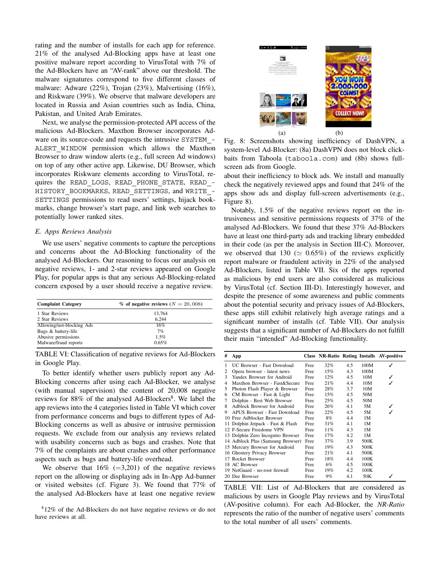rating and the number of installs for each app for reference. 21% of the analysed Ad-Blocking apps have at least one positive malware report according to VirusTotal with 7% of the Ad-Blockers have an "AV-rank" above our threshold. The malware signatures correspond to five different classes of malware: Adware (22%), Trojan (23%), Malvertising (16%), and Riskware (39%). We observe that malware developers are located in Russia and Asian countries such as India, China, Pakistan, and United Arab Emirates.

Next, we analyse the permission-protected API access of the malicious Ad-Blockers. Maxthon Browser incorporates Adware on its source-code and requests the intrusive SYSTEM\_- ALERT WINDOW permission which allows the Maxthon Browser to draw window alerts (e.g., full screen Ad windows) on top of any other active app. Likewise, DU Browser, which incorporates Riskware elements according to VirusTotal, requires the READ\_LOGS, READ\_PHONE\_STATE, READ\_- HISTORY BOOKMARKS, READ SETTINGS, and WRITE -SETTINGS permissions to read users' settings, hijack bookmarks, change browser's start page, and link web searches to potentially lower ranked sites.

# *E. Apps Reviews Analysis*

We use users' negative comments to capture the perceptions and concerns about the Ad-Blocking functionality of the analysed Ad-Blockers. Our reasoning to focus our analysis on negative reviews, 1- and 2-star reviews appeared on Google Play, for popular apps is that any serious Ad-Blocking-related concern exposed by a user should receive a negative review.

| <b>Complaint Category</b> | $\%$ of negative reviews ( $N = 20,008$ ) |
|---------------------------|-------------------------------------------|
| 1 Star Reviews            | 13.764                                    |
| 2 Star Reviews            | 6.244                                     |
| Allowing/not-blocking Ads | 16%                                       |
| Bugs & battery-life       | 7%                                        |
| Abusive permissions       | 1.5%                                      |
| Malware/fraud reports     | 0.65%                                     |

TABLE VI: Classification of negative reviews for Ad-Blockers in Google Play.

To better identify whether users publicly report any Ad-Blocking concerns after using each Ad-Blocker, we analyse (with manual supervision) the content of 20,008 negative reviews for  $88\%$  of the analysed Ad-Blockers<sup>8</sup>. We label the app reviews into the 4 categories listed in Table VI which cover from performance concerns and bugs to different types of Ad-Blocking concerns as well as abusive or intrusive permission requests. We exclude from our analysis any reviews related with usability concerns such as bugs and crashes. Note that 7% of the complaints are about crashes and other performance aspects such as bugs and battery-life overhead.

We observe that  $16\%$  (=3,201) of the negative reviews report on the allowing or displaying ads in In-App Ad-banner or visited websites (cf. Figure 3). We found that 77% of the analysed Ad-Blockers have at least one negative review

<sup>8</sup>12% of the Ad-Blockers do not have negative reviews or do not have reviews at all.



Fig. 8: Screenshots showing inefficiency of DashVPN, a system-level Ad-Blocker: (8a) DashVPN does not block clickbaits from Taboola (taboola.com) and (8b) shows fullscreen ads from Google.

about their inefficiency to block ads. We install and manually check the negatively reviewed apps and found that 24% of the apps show ads and display full-screen advertisements (e.g., Figure 8).

Notably, 1.5% of the negative reviews report on the intrusiveness and sensitive permissions requests of 37% of the analysed Ad-Blockers. We found that these 37% Ad-Blockers have at least one third-party ads and tracking library embedded in their code (as per the analysis in Section III-C). Moreover, we observed that 130 ( $\simeq$  0.65%) of the reviews explicitly report malware or fraudulent activity in 22% of the analysed Ad-Blockers, listed in Table VII. Six of the apps reported as malicious by end users are also considered as malicious by VirusTotal (cf. Section III-D). Interestingly however, and despite the presence of some awareness and public comments about the potential security and privacy issues of Ad-Blockers, these apps still exhibit relatively high average ratings and a significant number of installs (cf. Table VII). Our analysis suggests that a significant number of Ad-Blockers do not fulfill their main "intended" Ad-Blocking functionality.

| #  | App                               |      |       |     |      | Class NR-Ratio Rating Installs AV-positive |
|----|-----------------------------------|------|-------|-----|------|--------------------------------------------|
| 1  | UC Browser - Fast Download        | Free | 32%   | 4.5 | 100M |                                            |
| 2  | Opera browser - latest news       | Free | 15%   | 4.3 | 100M |                                            |
| 3  | Yandex Browser for Android        | Free | 12%   | 4.5 | 10M  |                                            |
| 4  | Maxthon Browser - Fast&Secure     | Free | 21%   | 4.4 | 10M  |                                            |
| 5  | Photon Flash Player & Browser     | Free | 28%   | 3.7 | 10M  |                                            |
| 6  | CM Browser - Fast & Light         | Free | 15%   | 4.5 | 50M  |                                            |
| 7  | Dolphin - Best Web Browser        | Free | 25%   | 4.5 | 50M  |                                            |
| 8  | Adblock Browser for Android       | Free | 26%   | 4.1 | 5M   |                                            |
| 9  | APUS Browser - Fast Download      | Free | 22%   | 4.5 | 5M   |                                            |
|    | 10 Free Adblocker Browser         | Free | 8%    | 4.4 | 1M   |                                            |
| 11 | Dolphin Jetpack - Fast & Flash    | Free | 31%   | 4.1 | 1M   |                                            |
|    | 12 F-Secure Freedome VPN          | Free | 11%   | 4.3 | 1M   |                                            |
|    | 13 Dolphin Zero Incognito Browser | Free | 17%   | 4.2 | 1M   |                                            |
|    | 14 Adblock Plus (Samsung Browser) | Free | 37%   | 3.9 | 500K |                                            |
|    | 15 Mercury Browser for Android    | Free | 19%   | 4.3 | 500K |                                            |
|    | 16 Ghostery Privacy Browser       | Free | 21%   | 4.1 | 500K |                                            |
|    | 17 Rocket Browser                 | Free | 18%   | 4.4 | 100K |                                            |
|    | 18 AC Browser                     | Free | 6%    | 4.5 | 100K |                                            |
|    | 19 NetGuard - no-root firewall    | Free | 19%   | 4.2 | 100K |                                            |
|    | 20 Dee Browser                    | Free | $9\%$ | 4.1 | 50K  |                                            |

TABLE VII: List of Ad-Blockers that are considered as malicious by users in Google Play reviews and by VirusTotal (AV-positive column). For each Ad-Blocker, the *NR-Ratio* represents the ratio of the number of negative users' comments to the total number of all users' comments.